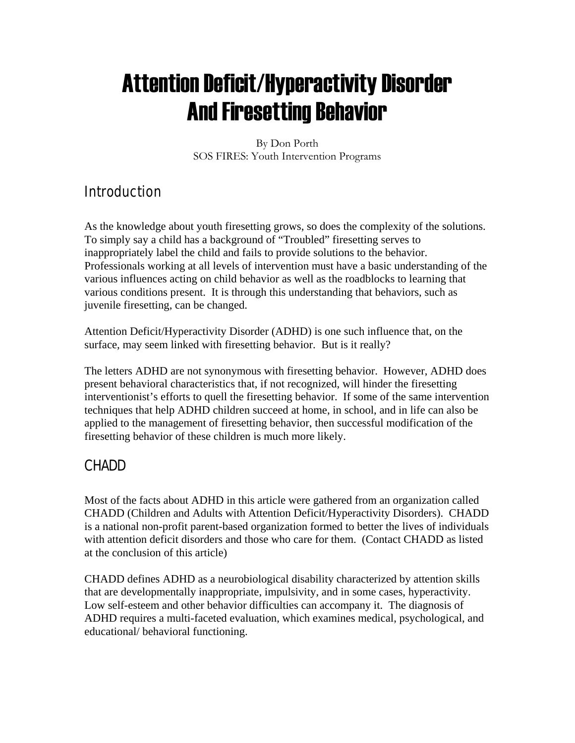# Attention Deficit/Hyperactivity Disorder And Firesetting Behavior

By Don Porth SOS FIRES: Youth Intervention Programs

## **Introduction**

As the knowledge about youth firesetting grows, so does the complexity of the solutions. To simply say a child has a background of "Troubled" firesetting serves to inappropriately label the child and fails to provide solutions to the behavior. Professionals working at all levels of intervention must have a basic understanding of the various influences acting on child behavior as well as the roadblocks to learning that various conditions present. It is through this understanding that behaviors, such as juvenile firesetting, can be changed.

Attention Deficit/Hyperactivity Disorder (ADHD) is one such influence that, on the surface, may seem linked with firesetting behavior. But is it really?

The letters ADHD are not synonymous with firesetting behavior. However, ADHD does present behavioral characteristics that, if not recognized, will hinder the firesetting interventionist's efforts to quell the firesetting behavior. If some of the same intervention techniques that help ADHD children succeed at home, in school, and in life can also be applied to the management of firesetting behavior, then successful modification of the firesetting behavior of these children is much more likely.

## CHADD

Most of the facts about ADHD in this article were gathered from an organization called CHADD (Children and Adults with Attention Deficit/Hyperactivity Disorders). CHADD is a national non-profit parent-based organization formed to better the lives of individuals with attention deficit disorders and those who care for them. (Contact CHADD as listed at the conclusion of this article)

CHADD defines ADHD as a neurobiological disability characterized by attention skills that are developmentally inappropriate, impulsivity, and in some cases, hyperactivity. Low self-esteem and other behavior difficulties can accompany it. The diagnosis of ADHD requires a multi-faceted evaluation, which examines medical, psychological, and educational/ behavioral functioning.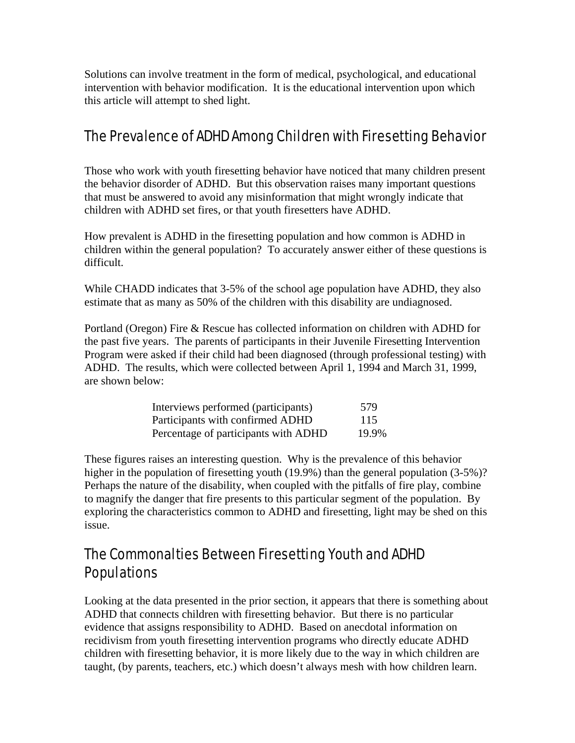Solutions can involve treatment in the form of medical, psychological, and educational intervention with behavior modification. It is the educational intervention upon which this article will attempt to shed light.

#### The Prevalence of ADHD Among Children with Firesetting Behavior

Those who work with youth firesetting behavior have noticed that many children present the behavior disorder of ADHD. But this observation raises many important questions that must be answered to avoid any misinformation that might wrongly indicate that children with ADHD set fires, or that youth firesetters have ADHD.

How prevalent is ADHD in the firesetting population and how common is ADHD in children within the general population? To accurately answer either of these questions is difficult.

While CHADD indicates that 3-5% of the school age population have ADHD, they also estimate that as many as 50% of the children with this disability are undiagnosed.

Portland (Oregon) Fire & Rescue has collected information on children with ADHD for the past five years. The parents of participants in their Juvenile Firesetting Intervention Program were asked if their child had been diagnosed (through professional testing) with ADHD. The results, which were collected between April 1, 1994 and March 31, 1999, are shown below:

| Interviews performed (participants)  | 579   |
|--------------------------------------|-------|
| Participants with confirmed ADHD     | 115   |
| Percentage of participants with ADHD | 19.9% |

These figures raises an interesting question. Why is the prevalence of this behavior higher in the population of firesetting youth (19.9%) than the general population (3-5%)? Perhaps the nature of the disability, when coupled with the pitfalls of fire play, combine to magnify the danger that fire presents to this particular segment of the population. By exploring the characteristics common to ADHD and firesetting, light may be shed on this issue.

#### The Commonalties Between Firesetting Youth and ADHD Populations

Looking at the data presented in the prior section, it appears that there is something about ADHD that connects children with firesetting behavior. But there is no particular evidence that assigns responsibility to ADHD. Based on anecdotal information on recidivism from youth firesetting intervention programs who directly educate ADHD children with firesetting behavior, it is more likely due to the way in which children are taught, (by parents, teachers, etc.) which doesn't always mesh with how children learn.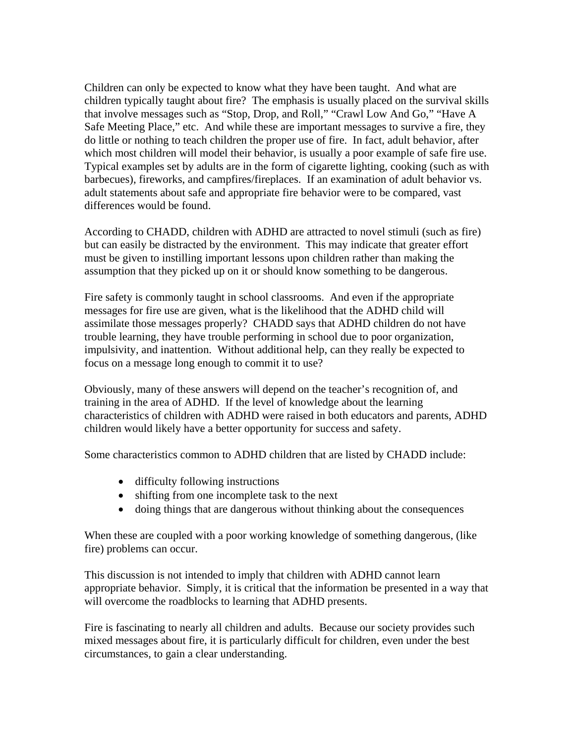Children can only be expected to know what they have been taught. And what are children typically taught about fire? The emphasis is usually placed on the survival skills that involve messages such as "Stop, Drop, and Roll," "Crawl Low And Go," "Have A Safe Meeting Place," etc. And while these are important messages to survive a fire, they do little or nothing to teach children the proper use of fire. In fact, adult behavior, after which most children will model their behavior, is usually a poor example of safe fire use. Typical examples set by adults are in the form of cigarette lighting, cooking (such as with barbecues), fireworks, and campfires/fireplaces. If an examination of adult behavior vs. adult statements about safe and appropriate fire behavior were to be compared, vast differences would be found.

According to CHADD, children with ADHD are attracted to novel stimuli (such as fire) but can easily be distracted by the environment. This may indicate that greater effort must be given to instilling important lessons upon children rather than making the assumption that they picked up on it or should know something to be dangerous.

Fire safety is commonly taught in school classrooms. And even if the appropriate messages for fire use are given, what is the likelihood that the ADHD child will assimilate those messages properly? CHADD says that ADHD children do not have trouble learning, they have trouble performing in school due to poor organization, impulsivity, and inattention. Without additional help, can they really be expected to focus on a message long enough to commit it to use?

Obviously, many of these answers will depend on the teacher's recognition of, and training in the area of ADHD. If the level of knowledge about the learning characteristics of children with ADHD were raised in both educators and parents, ADHD children would likely have a better opportunity for success and safety.

Some characteristics common to ADHD children that are listed by CHADD include:

- difficulty following instructions
- shifting from one incomplete task to the next
- doing things that are dangerous without thinking about the consequences

When these are coupled with a poor working knowledge of something dangerous, (like fire) problems can occur.

This discussion is not intended to imply that children with ADHD cannot learn appropriate behavior. Simply, it is critical that the information be presented in a way that will overcome the roadblocks to learning that ADHD presents.

Fire is fascinating to nearly all children and adults. Because our society provides such mixed messages about fire, it is particularly difficult for children, even under the best circumstances, to gain a clear understanding.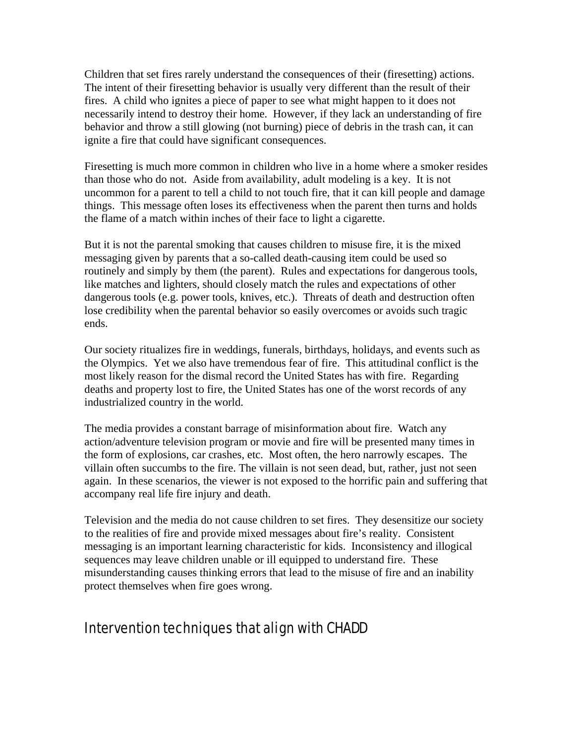Children that set fires rarely understand the consequences of their (firesetting) actions. The intent of their firesetting behavior is usually very different than the result of their fires. A child who ignites a piece of paper to see what might happen to it does not necessarily intend to destroy their home. However, if they lack an understanding of fire behavior and throw a still glowing (not burning) piece of debris in the trash can, it can ignite a fire that could have significant consequences.

Firesetting is much more common in children who live in a home where a smoker resides than those who do not. Aside from availability, adult modeling is a key. It is not uncommon for a parent to tell a child to not touch fire, that it can kill people and damage things. This message often loses its effectiveness when the parent then turns and holds the flame of a match within inches of their face to light a cigarette.

But it is not the parental smoking that causes children to misuse fire, it is the mixed messaging given by parents that a so-called death-causing item could be used so routinely and simply by them (the parent). Rules and expectations for dangerous tools, like matches and lighters, should closely match the rules and expectations of other dangerous tools (e.g. power tools, knives, etc.). Threats of death and destruction often lose credibility when the parental behavior so easily overcomes or avoids such tragic ends.

Our society ritualizes fire in weddings, funerals, birthdays, holidays, and events such as the Olympics. Yet we also have tremendous fear of fire. This attitudinal conflict is the most likely reason for the dismal record the United States has with fire. Regarding deaths and property lost to fire, the United States has one of the worst records of any industrialized country in the world.

The media provides a constant barrage of misinformation about fire. Watch any action/adventure television program or movie and fire will be presented many times in the form of explosions, car crashes, etc. Most often, the hero narrowly escapes. The villain often succumbs to the fire. The villain is not seen dead, but, rather, just not seen again. In these scenarios, the viewer is not exposed to the horrific pain and suffering that accompany real life fire injury and death.

Television and the media do not cause children to set fires. They desensitize our society to the realities of fire and provide mixed messages about fire's reality. Consistent messaging is an important learning characteristic for kids. Inconsistency and illogical sequences may leave children unable or ill equipped to understand fire. These misunderstanding causes thinking errors that lead to the misuse of fire and an inability protect themselves when fire goes wrong.

#### Intervention techniques that align with CHADD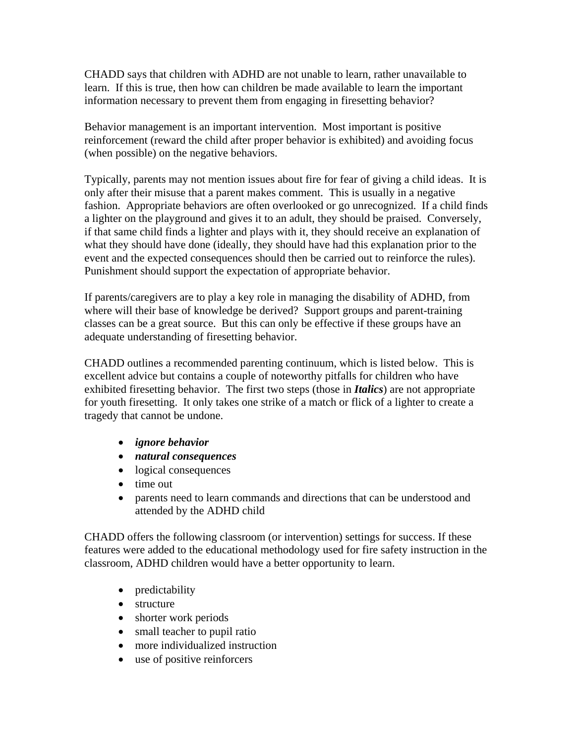CHADD says that children with ADHD are not unable to learn, rather unavailable to learn. If this is true, then how can children be made available to learn the important information necessary to prevent them from engaging in firesetting behavior?

Behavior management is an important intervention. Most important is positive reinforcement (reward the child after proper behavior is exhibited) and avoiding focus (when possible) on the negative behaviors.

Typically, parents may not mention issues about fire for fear of giving a child ideas. It is only after their misuse that a parent makes comment. This is usually in a negative fashion. Appropriate behaviors are often overlooked or go unrecognized. If a child finds a lighter on the playground and gives it to an adult, they should be praised. Conversely, if that same child finds a lighter and plays with it, they should receive an explanation of what they should have done (ideally, they should have had this explanation prior to the event and the expected consequences should then be carried out to reinforce the rules). Punishment should support the expectation of appropriate behavior.

If parents/caregivers are to play a key role in managing the disability of ADHD, from where will their base of knowledge be derived? Support groups and parent-training classes can be a great source. But this can only be effective if these groups have an adequate understanding of firesetting behavior.

CHADD outlines a recommended parenting continuum, which is listed below. This is excellent advice but contains a couple of noteworthy pitfalls for children who have exhibited firesetting behavior. The first two steps (those in *Italics*) are not appropriate for youth firesetting. It only takes one strike of a match or flick of a lighter to create a tragedy that cannot be undone.

- *ignore behavior*
- *natural consequences*
- logical consequences
- time out
- parents need to learn commands and directions that can be understood and attended by the ADHD child

CHADD offers the following classroom (or intervention) settings for success. If these features were added to the educational methodology used for fire safety instruction in the classroom, ADHD children would have a better opportunity to learn.

- predictability
- structure
- shorter work periods
- small teacher to pupil ratio
- more individualized instruction
- use of positive reinforcers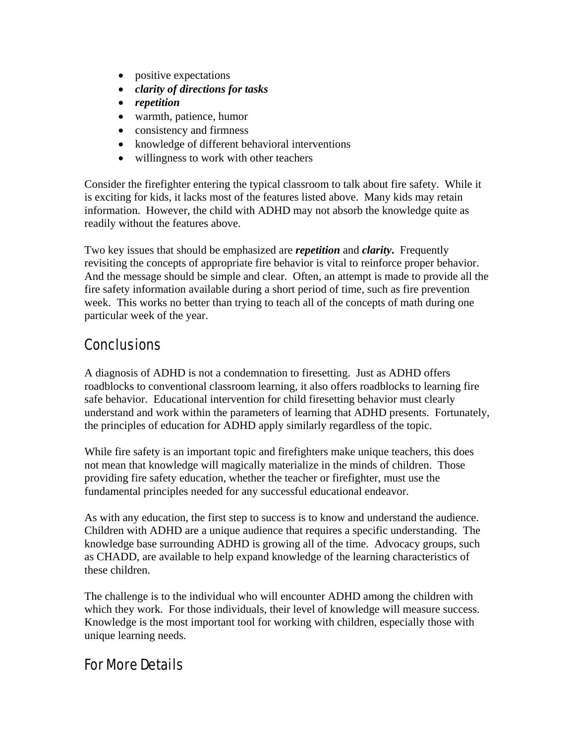- positive expectations
- *clarity of directions for tasks*
- *repetition*
- warmth, patience, humor
- consistency and firmness
- knowledge of different behavioral interventions
- willingness to work with other teachers

Consider the firefighter entering the typical classroom to talk about fire safety. While it is exciting for kids, it lacks most of the features listed above. Many kids may retain information. However, the child with ADHD may not absorb the knowledge quite as readily without the features above.

Two key issues that should be emphasized are *repetition* and *clarity***.** Frequently revisiting the concepts of appropriate fire behavior is vital to reinforce proper behavior. And the message should be simple and clear. Often, an attempt is made to provide all the fire safety information available during a short period of time, such as fire prevention week. This works no better than trying to teach all of the concepts of math during one particular week of the year.

## Conclusions

A diagnosis of ADHD is not a condemnation to firesetting. Just as ADHD offers roadblocks to conventional classroom learning, it also offers roadblocks to learning fire safe behavior. Educational intervention for child firesetting behavior must clearly understand and work within the parameters of learning that ADHD presents. Fortunately, the principles of education for ADHD apply similarly regardless of the topic.

While fire safety is an important topic and firefighters make unique teachers, this does not mean that knowledge will magically materialize in the minds of children. Those providing fire safety education, whether the teacher or firefighter, must use the fundamental principles needed for any successful educational endeavor.

As with any education, the first step to success is to know and understand the audience. Children with ADHD are a unique audience that requires a specific understanding. The knowledge base surrounding ADHD is growing all of the time. Advocacy groups, such as CHADD, are available to help expand knowledge of the learning characteristics of these children.

The challenge is to the individual who will encounter ADHD among the children with which they work. For those individuals, their level of knowledge will measure success. Knowledge is the most important tool for working with children, especially those with unique learning needs.

## For More Details